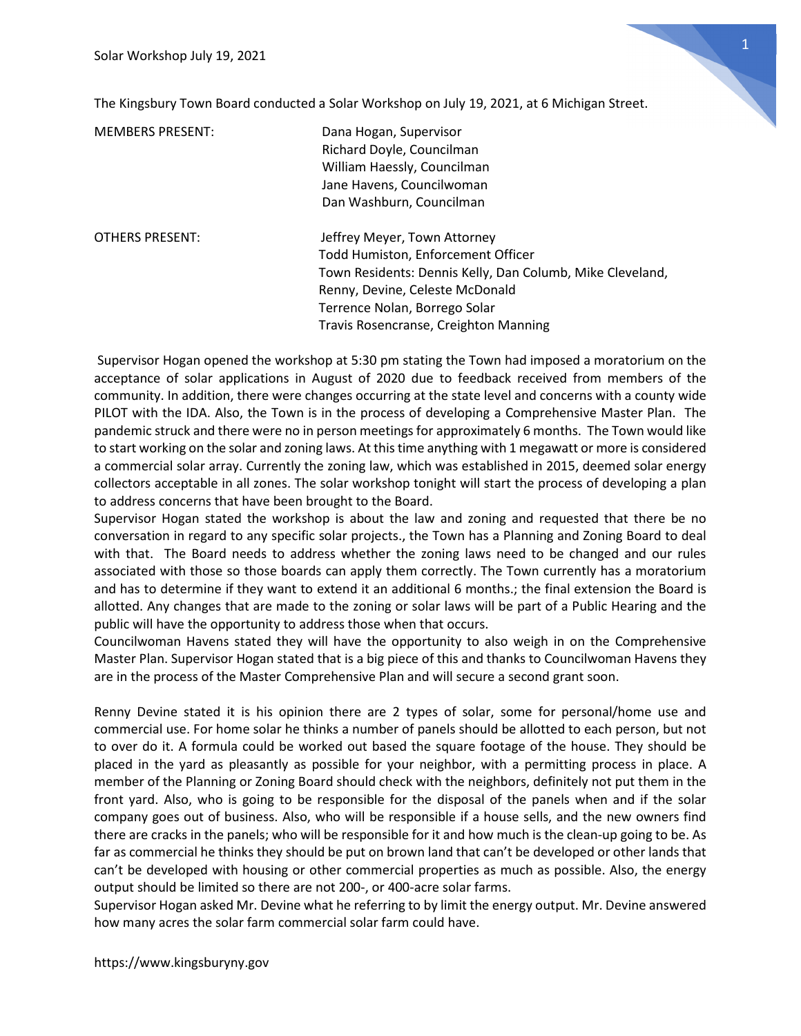

The Kingsbury Town Board conducted a Solar Workshop on July 19, 2021, at 6 Michigan Street.

| <b>MEMBERS PRESENT:</b> | Dana Hogan, Supervisor<br>Richard Doyle, Councilman<br>William Haessly, Councilman<br>Jane Havens, Councilwoman<br>Dan Washburn, Councilman                                                                                                  |
|-------------------------|----------------------------------------------------------------------------------------------------------------------------------------------------------------------------------------------------------------------------------------------|
| <b>OTHERS PRESENT:</b>  | Jeffrey Meyer, Town Attorney<br>Todd Humiston, Enforcement Officer<br>Town Residents: Dennis Kelly, Dan Columb, Mike Cleveland,<br>Renny, Devine, Celeste McDonald<br>Terrence Nolan, Borrego Solar<br>Travis Rosencranse, Creighton Manning |

 Supervisor Hogan opened the workshop at 5:30 pm stating the Town had imposed a moratorium on the acceptance of solar applications in August of 2020 due to feedback received from members of the community. In addition, there were changes occurring at the state level and concerns with a county wide PILOT with the IDA. Also, the Town is in the process of developing a Comprehensive Master Plan. The pandemic struck and there were no in person meetings for approximately 6 months. The Town would like to start working on the solar and zoning laws. At this time anything with 1 megawatt or more is considered a commercial solar array. Currently the zoning law, which was established in 2015, deemed solar energy collectors acceptable in all zones. The solar workshop tonight will start the process of developing a plan to address concerns that have been brought to the Board.

Supervisor Hogan stated the workshop is about the law and zoning and requested that there be no conversation in regard to any specific solar projects., the Town has a Planning and Zoning Board to deal with that. The Board needs to address whether the zoning laws need to be changed and our rules associated with those so those boards can apply them correctly. The Town currently has a moratorium and has to determine if they want to extend it an additional 6 months.; the final extension the Board is allotted. Any changes that are made to the zoning or solar laws will be part of a Public Hearing and the public will have the opportunity to address those when that occurs.

Councilwoman Havens stated they will have the opportunity to also weigh in on the Comprehensive Master Plan. Supervisor Hogan stated that is a big piece of this and thanks to Councilwoman Havens they are in the process of the Master Comprehensive Plan and will secure a second grant soon.

Renny Devine stated it is his opinion there are 2 types of solar, some for personal/home use and commercial use. For home solar he thinks a number of panels should be allotted to each person, but not to over do it. A formula could be worked out based the square footage of the house. They should be placed in the yard as pleasantly as possible for your neighbor, with a permitting process in place. A member of the Planning or Zoning Board should check with the neighbors, definitely not put them in the front yard. Also, who is going to be responsible for the disposal of the panels when and if the solar company goes out of business. Also, who will be responsible if a house sells, and the new owners find there are cracks in the panels; who will be responsible for it and how much is the clean-up going to be. As far as commercial he thinks they should be put on brown land that can't be developed or other lands that can't be developed with housing or other commercial properties as much as possible. Also, the energy output should be limited so there are not 200-, or 400-acre solar farms.

Supervisor Hogan asked Mr. Devine what he referring to by limit the energy output. Mr. Devine answered how many acres the solar farm commercial solar farm could have.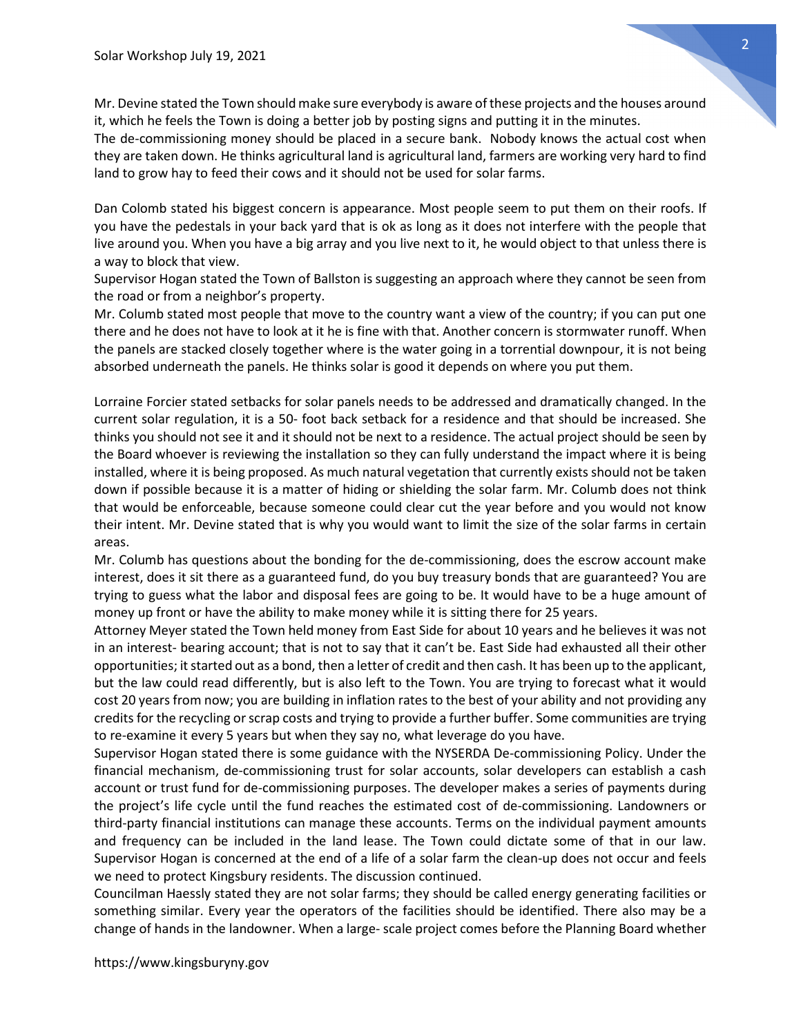

The de-commissioning money should be placed in a secure bank. Nobody knows the actual cost when they are taken down. He thinks agricultural land is agricultural land, farmers are working very hard to find land to grow hay to feed their cows and it should not be used for solar farms.

Dan Colomb stated his biggest concern is appearance. Most people seem to put them on their roofs. If you have the pedestals in your back yard that is ok as long as it does not interfere with the people that live around you. When you have a big array and you live next to it, he would object to that unless there is a way to block that view.

Supervisor Hogan stated the Town of Ballston is suggesting an approach where they cannot be seen from the road or from a neighbor's property.

Mr. Columb stated most people that move to the country want a view of the country; if you can put one there and he does not have to look at it he is fine with that. Another concern is stormwater runoff. When the panels are stacked closely together where is the water going in a torrential downpour, it is not being absorbed underneath the panels. He thinks solar is good it depends on where you put them.

Lorraine Forcier stated setbacks for solar panels needs to be addressed and dramatically changed. In the current solar regulation, it is a 50- foot back setback for a residence and that should be increased. She thinks you should not see it and it should not be next to a residence. The actual project should be seen by the Board whoever is reviewing the installation so they can fully understand the impact where it is being installed, where it is being proposed. As much natural vegetation that currently exists should not be taken down if possible because it is a matter of hiding or shielding the solar farm. Mr. Columb does not think that would be enforceable, because someone could clear cut the year before and you would not know their intent. Mr. Devine stated that is why you would want to limit the size of the solar farms in certain areas.

Mr. Columb has questions about the bonding for the de-commissioning, does the escrow account make interest, does it sit there as a guaranteed fund, do you buy treasury bonds that are guaranteed? You are trying to guess what the labor and disposal fees are going to be. It would have to be a huge amount of money up front or have the ability to make money while it is sitting there for 25 years.

Attorney Meyer stated the Town held money from East Side for about 10 years and he believes it was not in an interest- bearing account; that is not to say that it can't be. East Side had exhausted all their other opportunities; it started out as a bond, then a letter of credit and then cash. It has been up to the applicant, but the law could read differently, but is also left to the Town. You are trying to forecast what it would cost 20 years from now; you are building in inflation rates to the best of your ability and not providing any credits for the recycling or scrap costs and trying to provide a further buffer. Some communities are trying to re-examine it every 5 years but when they say no, what leverage do you have.

Supervisor Hogan stated there is some guidance with the NYSERDA De-commissioning Policy. Under the financial mechanism, de-commissioning trust for solar accounts, solar developers can establish a cash account or trust fund for de-commissioning purposes. The developer makes a series of payments during the project's life cycle until the fund reaches the estimated cost of de-commissioning. Landowners or third-party financial institutions can manage these accounts. Terms on the individual payment amounts and frequency can be included in the land lease. The Town could dictate some of that in our law. Supervisor Hogan is concerned at the end of a life of a solar farm the clean-up does not occur and feels we need to protect Kingsbury residents. The discussion continued.

Councilman Haessly stated they are not solar farms; they should be called energy generating facilities or something similar. Every year the operators of the facilities should be identified. There also may be a change of hands in the landowner. When a large- scale project comes before the Planning Board whether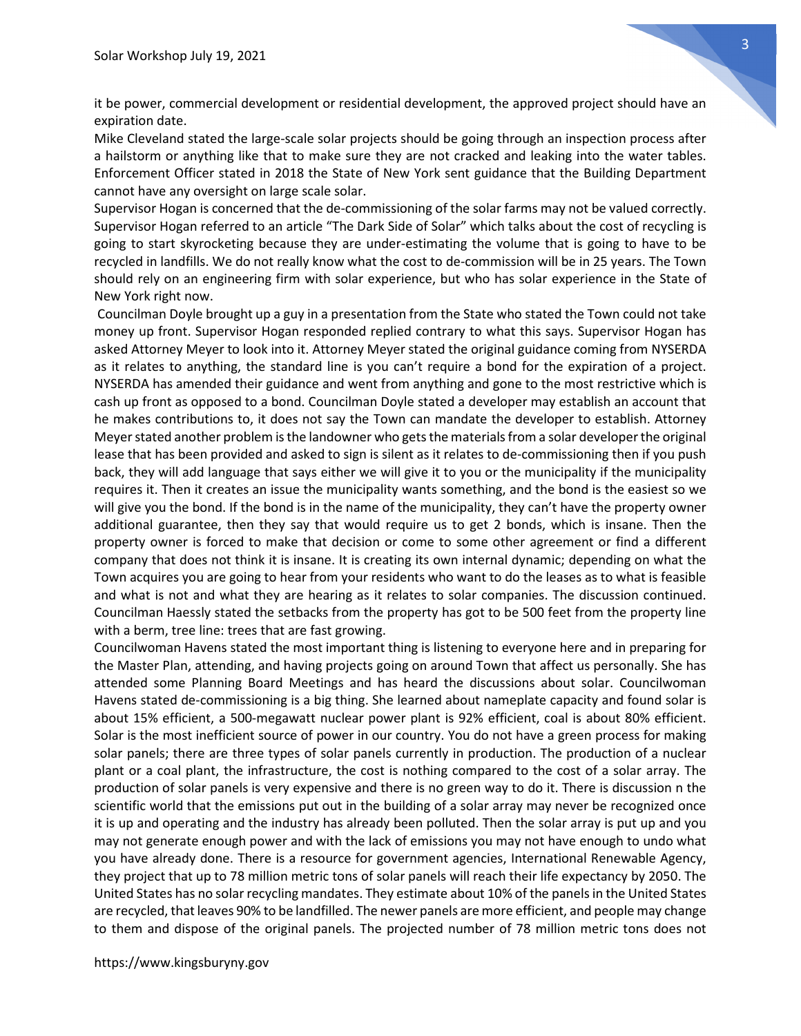it be power, commercial development or residential development, the approved project should have an expiration date.

Mike Cleveland stated the large-scale solar projects should be going through an inspection process after a hailstorm or anything like that to make sure they are not cracked and leaking into the water tables. Enforcement Officer stated in 2018 the State of New York sent guidance that the Building Department cannot have any oversight on large scale solar.

Supervisor Hogan is concerned that the de-commissioning of the solar farms may not be valued correctly. Supervisor Hogan referred to an article "The Dark Side of Solar" which talks about the cost of recycling is going to start skyrocketing because they are under-estimating the volume that is going to have to be recycled in landfills. We do not really know what the cost to de-commission will be in 25 years. The Town should rely on an engineering firm with solar experience, but who has solar experience in the State of New York right now.

 Councilman Doyle brought up a guy in a presentation from the State who stated the Town could not take money up front. Supervisor Hogan responded replied contrary to what this says. Supervisor Hogan has asked Attorney Meyer to look into it. Attorney Meyer stated the original guidance coming from NYSERDA as it relates to anything, the standard line is you can't require a bond for the expiration of a project. NYSERDA has amended their guidance and went from anything and gone to the most restrictive which is cash up front as opposed to a bond. Councilman Doyle stated a developer may establish an account that he makes contributions to, it does not say the Town can mandate the developer to establish. Attorney Meyer stated another problem is the landowner who gets the materials from a solar developer the original lease that has been provided and asked to sign is silent as it relates to de-commissioning then if you push back, they will add language that says either we will give it to you or the municipality if the municipality requires it. Then it creates an issue the municipality wants something, and the bond is the easiest so we will give you the bond. If the bond is in the name of the municipality, they can't have the property owner additional guarantee, then they say that would require us to get 2 bonds, which is insane. Then the property owner is forced to make that decision or come to some other agreement or find a different company that does not think it is insane. It is creating its own internal dynamic; depending on what the Town acquires you are going to hear from your residents who want to do the leases as to what is feasible and what is not and what they are hearing as it relates to solar companies. The discussion continued. Councilman Haessly stated the setbacks from the property has got to be 500 feet from the property line with a berm, tree line: trees that are fast growing.

Councilwoman Havens stated the most important thing is listening to everyone here and in preparing for the Master Plan, attending, and having projects going on around Town that affect us personally. She has attended some Planning Board Meetings and has heard the discussions about solar. Councilwoman Havens stated de-commissioning is a big thing. She learned about nameplate capacity and found solar is about 15% efficient, a 500-megawatt nuclear power plant is 92% efficient, coal is about 80% efficient. Solar is the most inefficient source of power in our country. You do not have a green process for making solar panels; there are three types of solar panels currently in production. The production of a nuclear plant or a coal plant, the infrastructure, the cost is nothing compared to the cost of a solar array. The production of solar panels is very expensive and there is no green way to do it. There is discussion n the scientific world that the emissions put out in the building of a solar array may never be recognized once it is up and operating and the industry has already been polluted. Then the solar array is put up and you may not generate enough power and with the lack of emissions you may not have enough to undo what you have already done. There is a resource for government agencies, International Renewable Agency, they project that up to 78 million metric tons of solar panels will reach their life expectancy by 2050. The United States has no solar recycling mandates. They estimate about 10% of the panels in the United States are recycled, that leaves 90% to be landfilled. The newer panels are more efficient, and people may change to them and dispose of the original panels. The projected number of 78 million metric tons does not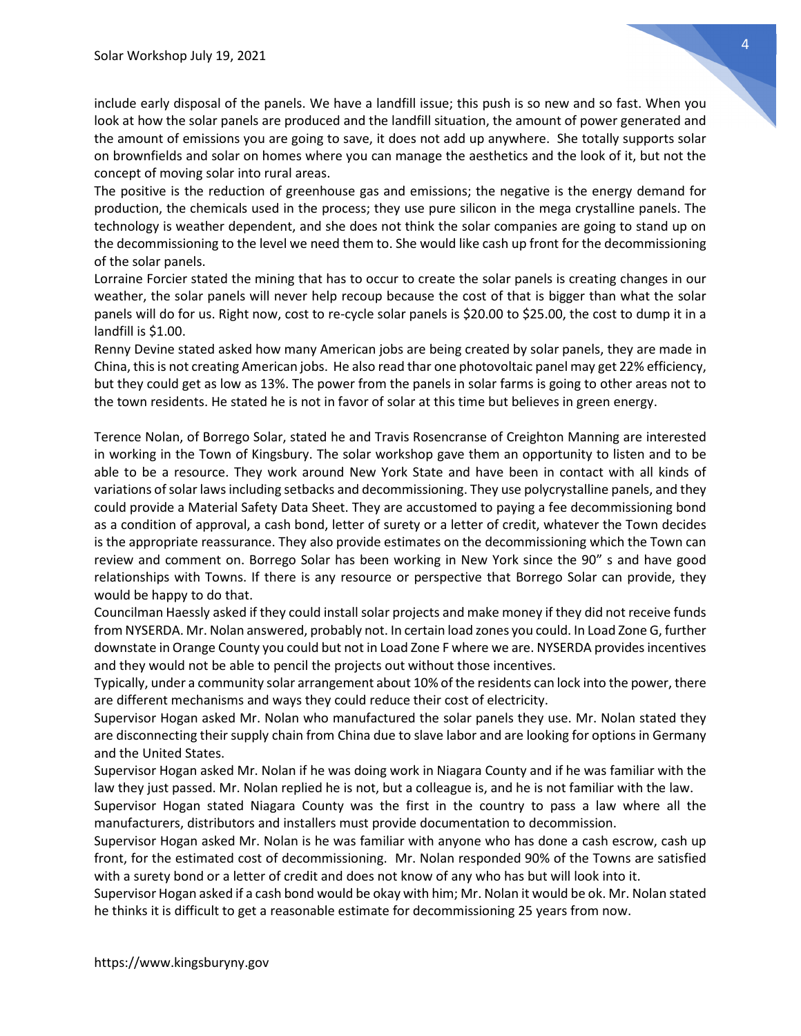include early disposal of the panels. We have a landfill issue; this push is so new and so fast. When you look at how the solar panels are produced and the landfill situation, the amount of power generated and the amount of emissions you are going to save, it does not add up anywhere. She totally supports solar on brownfields and solar on homes where you can manage the aesthetics and the look of it, but not the concept of moving solar into rural areas.

The positive is the reduction of greenhouse gas and emissions; the negative is the energy demand for production, the chemicals used in the process; they use pure silicon in the mega crystalline panels. The technology is weather dependent, and she does not think the solar companies are going to stand up on the decommissioning to the level we need them to. She would like cash up front for the decommissioning of the solar panels.

Lorraine Forcier stated the mining that has to occur to create the solar panels is creating changes in our weather, the solar panels will never help recoup because the cost of that is bigger than what the solar panels will do for us. Right now, cost to re-cycle solar panels is \$20.00 to \$25.00, the cost to dump it in a landfill is \$1.00.

Renny Devine stated asked how many American jobs are being created by solar panels, they are made in China, this is not creating American jobs. He also read thar one photovoltaic panel may get 22% efficiency, but they could get as low as 13%. The power from the panels in solar farms is going to other areas not to the town residents. He stated he is not in favor of solar at this time but believes in green energy.

Terence Nolan, of Borrego Solar, stated he and Travis Rosencranse of Creighton Manning are interested in working in the Town of Kingsbury. The solar workshop gave them an opportunity to listen and to be able to be a resource. They work around New York State and have been in contact with all kinds of variations of solar laws including setbacks and decommissioning. They use polycrystalline panels, and they could provide a Material Safety Data Sheet. They are accustomed to paying a fee decommissioning bond as a condition of approval, a cash bond, letter of surety or a letter of credit, whatever the Town decides is the appropriate reassurance. They also provide estimates on the decommissioning which the Town can review and comment on. Borrego Solar has been working in New York since the 90" s and have good relationships with Towns. If there is any resource or perspective that Borrego Solar can provide, they would be happy to do that.

Councilman Haessly asked if they could install solar projects and make money if they did not receive funds from NYSERDA. Mr. Nolan answered, probably not. In certain load zones you could. In Load Zone G, further downstate in Orange County you could but not in Load Zone F where we are. NYSERDA provides incentives and they would not be able to pencil the projects out without those incentives.

Typically, under a community solar arrangement about 10% of the residents can lock into the power, there are different mechanisms and ways they could reduce their cost of electricity.

Supervisor Hogan asked Mr. Nolan who manufactured the solar panels they use. Mr. Nolan stated they are disconnecting their supply chain from China due to slave labor and are looking for options in Germany and the United States.

Supervisor Hogan asked Mr. Nolan if he was doing work in Niagara County and if he was familiar with the law they just passed. Mr. Nolan replied he is not, but a colleague is, and he is not familiar with the law.

Supervisor Hogan stated Niagara County was the first in the country to pass a law where all the manufacturers, distributors and installers must provide documentation to decommission.

Supervisor Hogan asked Mr. Nolan is he was familiar with anyone who has done a cash escrow, cash up front, for the estimated cost of decommissioning. Mr. Nolan responded 90% of the Towns are satisfied with a surety bond or a letter of credit and does not know of any who has but will look into it.

Supervisor Hogan asked if a cash bond would be okay with him; Mr. Nolan it would be ok. Mr. Nolan stated he thinks it is difficult to get a reasonable estimate for decommissioning 25 years from now.